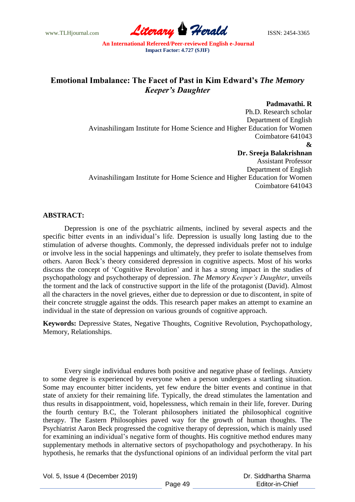www.TLHjournal.com **Literary Herald ISSN: 2454-3365** 

# **Emotional Imbalance: The Facet of Past in Kim Edward's** *The Memory Keeper's Daughter*

# **Padmavathi. R**

Ph.D. Research scholar Department of English Avinashilingam Institute for Home Science and Higher Education for Women Coimbatore 641043 **& Dr. Sreeja Balakrishnan** Assistant Professor Department of English Avinashilingam Institute for Home Science and Higher Education for Women Coimbatore 641043

#### **ABSTRACT:**

Depression is one of the psychiatric ailments, inclined by several aspects and the specific bitter events in an individual's life. Depression is usually long lasting due to the stimulation of adverse thoughts. Commonly, the depressed individuals prefer not to indulge or involve less in the social happenings and ultimately, they prefer to isolate themselves from others. Aaron Beck"s theory considered depression in cognitive aspects. Most of his works discuss the concept of "Cognitive Revolution" and it has a strong impact in the studies of psychopathology and psychotherapy of depression. *The Memory Keeper's Daughter*, unveils the torment and the lack of constructive support in the life of the protagonist (David). Almost all the characters in the novel grieves, either due to depression or due to discontent, in spite of their concrete struggle against the odds. This research paper makes an attempt to examine an individual in the state of depression on various grounds of cognitive approach.

**Keywords:** Depressive States, Negative Thoughts, Cognitive Revolution, Psychopathology, Memory, Relationships.

Every single individual endures both positive and negative phase of feelings. Anxiety to some degree is experienced by everyone when a person undergoes a startling situation. Some may encounter bitter incidents, yet few endure the bitter events and continue in that state of anxiety for their remaining life. Typically, the dread stimulates the lamentation and thus results in disappointment, void, hopelessness, which remain in their life, forever. During the fourth century B.C, the Tolerant philosophers initiated the philosophical cognitive therapy. The Eastern Philosophies paved way for the growth of human thoughts. The Psychiatrist Aaron Beck progressed the cognitive therapy of depression, which is mainly used for examining an individual"s negative form of thoughts. His cognitive method endures many supplementary methods in alternative sectors of psychopathology and psychotherapy. In his hypothesis, he remarks that the dysfunctional opinions of an individual perform the vital part

Vol. 5, Issue 4 (December 2019)

 Dr. Siddhartha Sharma Editor-in-Chief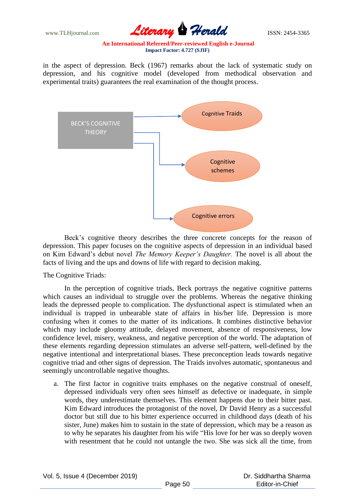www.TLHjournal.com **Literary Herald ISSN: 2454-3365** 

in the aspect of depression. Beck (1967) remarks about the lack of systematic study on depression, and his cognitive model (developed from methodical observation and experimental traits) guarantees the real examination of the thought process.



Beck"s cognitive theory describes the three concrete concepts for the reason of depression. This paper focuses on the cognitive aspects of depression in an individual based on Kim Edward"s debut novel *The Memory Keeper's Daughter.* The novel is all about the facts of living and the ups and downs of life with regard to decision making.

## The Cognitive Triads:

In the perception of cognitive triads, Beck portrays the negative cognitive patterns which causes an individual to struggle over the problems. Whereas the negative thinking leads the depressed people to complication. The dysfunctional aspect is stimulated when an individual is trapped in unbearable state of affairs in his/her life. Depression is more confusing when it comes to the matter of its indications. It combines distinctive behavior which may include gloomy attitude, delayed movement, absence of responsiveness, low confidence level, misery, weakness, and negative perception of the world. The adaptation of these elements regarding depression stimulates an adverse self-pattern, well-defined by the negative intentional and interpretational biases. These preconception leads towards negative cognitive triad and other signs of depression. The Traids involves automatic, spontaneous and seemingly uncontrollable negative thoughts.

a. The first factor in cognitive traits emphases on the negative construal of oneself, depressed individuals very often sees himself as defective or inadequate, in simple words, they underestimate themselves. This element happens due to their bitter past. Kim Edward introduces the protagonist of the novel, Dr David Henry as a successful doctor but still due to his bitter experience occurred in childhood days (death of his sister, June) makes him to sustain in the state of depression, which may be a reason as to why he separates his daughter from his wife "His love for her was so deeply woven with resentment that he could not untangle the two. She was sick all the time, from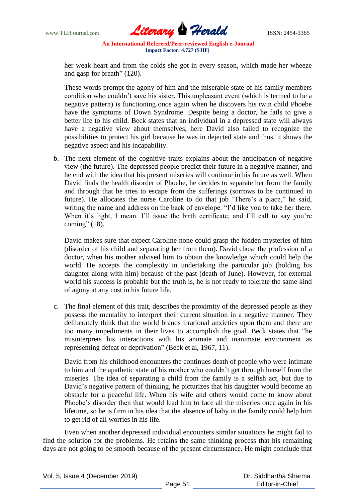

her weak heart and from the colds she got in every season, which made her wheeze and gasp for breath" (120).

These words prompt the agony of him and the miserable state of his family members condition who couldn"t save his sister. This unpleasant event (which is termed to be a negative pattern) is functioning once again when he discovers his twin child Phoebe have the symptoms of Down Syndrome. Despite being a doctor, he fails to give a better life to his child. Beck states that an individual in a depressed state will always have a negative view about themselves, here David also failed to recognize the possibilities to protect his girl because he was in dejected state and thus, it shows the negative aspect and his incapability.

b. The next element of the cognitive traits explains about the anticipation of negative view (the future). The depressed people predict their future in a negative manner, and he end with the idea that his present miseries will continue in his future as well. When David finds the health disorder of Phoebe, he decides to separate her from the family and through that he tries to escape from the sufferings (sorrows to be continued in future). He allocates the nurse Caroline to do that job "There"s a place," he said, writing the name and address on the back of envelope. "I"d like you to take her there. When it's light, I mean. I'll issue the birth certificate, and I'll call to say you're coming" (18).

David makes sure that expect Caroline none could grasp the hidden mysteries of him (disorder of his child and separating her from them). David chose the profession of a doctor, when his mother advised him to obtain the knowledge which could help the world. He accepts the complexity in undertaking the particular job (holding his daughter along with him) because of the past (death of June). However, for external world his success is probable but the truth is, he is not ready to tolerate the same kind of agony at any cost in his future life.

c. The final element of this trait, describes the proximity of the depressed people as they possess the mentality to interpret their current situation in a negative manner. They deliberately think that the world brands irrational anxieties upon them and there are too many impediments in their lives to accomplish the goal. Beck states that "he misinterprets his interactions with his animate and inanimate environment as representing defeat or deprivation" (Beck et al, 1967, 11).

David from his childhood encounters the continues death of people who were intimate to him and the apathetic state of his mother who couldn"t get through herself from the miseries. The idea of separating a child from the family is a selfish act, but due to David"s negative pattern of thinking, he picturizes that his daughter would become an obstacle for a peaceful life. When his wife and others would come to know about Phoebe"s disorder then that would lead him to face all the miseries once again in his lifetime, so he is firm in his idea that the absence of baby in the family could help him to get rid of all worries in his life.

Even when another depressed individual encounters similar situations he might fail to find the solution for the problems. He retains the same thinking process that his remaining days are not going to be smooth because of the present circumstance. He might conclude that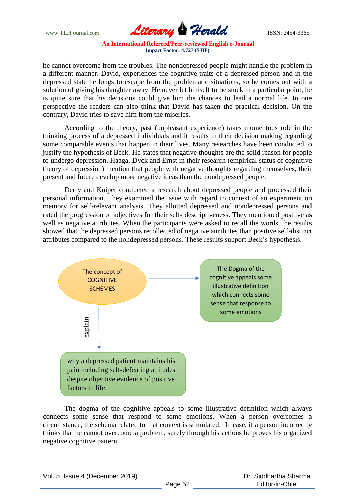www.TLHjournal.com **Literary Herald Herald ISSN: 2454-3365** 

he cannot overcome from the troubles. The nondepressed people might handle the problem in a different manner. David, experiences the cognitive traits of a depressed person and in the depressed state he longs to escape from the problematic situations, so he comes out with a solution of giving his daughter away. He never let himself to be stuck in a particular point, he is quite sure that his decisions could give him the chances to lead a normal life. In one perspective the readers can also think that David has taken the practical decision. On the contrary, David tries to save him from the miseries.

According to the theory, past (unpleasant experience) takes momentous role in the thinking process of a depressed individuals and it results in their decision making regarding some comparable events that happen in their lives. Many researches have been conducted to justify the hypothesis of Beck. He states that negative thoughts are the solid reason for people to undergo depression. Haaga, Dyck and Ernst in their research (empirical status of cognitive theory of depression) mention that people with negative thoughts regarding themselves, their present and future develop more negative ideas than the nondepressed people.

Derry and Kuiper conducted a research about depressed people and processed their personal information. They examined the issue with regard to context of an experiment on memory for self-relevant analysis. They allotted depressed and nondepressed persons and rated the progression of adjectives for their self- descriptiveness. They mentioned positive as well as negative attributes. When the participants were asked to recall the words, the results showed that the depressed persons recollected of negative attributes than positive self-distinct attributes compared to the nondepressed persons. These results support Beck"s hypothesis.



The dogma of the cognitive appeals to some illustrative definition which always connects some sense that respond to some emotions. When a person overcomes a circumstance, the schema related to that context is stimulated. In case, if a person incorrectly thinks that he cannot overcome a problem, surely through his actions he proves his organized negative cognitive pattern.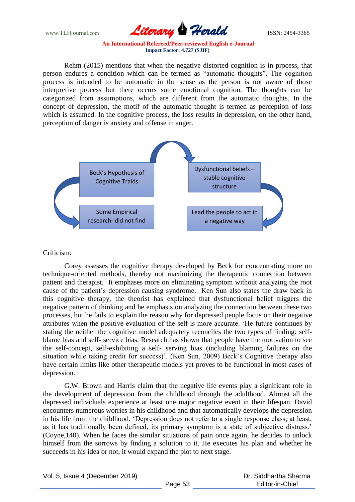www.TLHjournal.com **Literary Herald Herald ISSN: 2454-3365** 

Rehm (2015) mentions that when the negative distorted cognition is in process, that person endures a condition which can be termed as "automatic thoughts". The cognition process is intended to be automatic in the sense as the person is not aware of those interpretive process but there occurs some emotional cognition. The thoughts can be categorized from assumptions, which are different from the automatic thoughts. In the concept of depression, the motif of the automatic thought is termed as perception of loss which is assumed. In the cognitive process, the loss results in depression, on the other hand, perception of danger is anxiety and offense in anger.



## Criticism:

Corey assesses the cognitive therapy developed by Beck for concentrating more on technique-oriented methods, thereby not maximizing the therapeutic connection between patient and therapist. It emphases more on eliminating symptom without analyzing the root cause of the patient"s depression causing syndrome. Ken Sun also states the draw back in this cognitive therapy, the theorist has explained that dysfunctional belief triggers the negative pattern of thinking and he emphasis on analyzing the connection between these two processes, but he fails to explain the reason why for depressed people focus on their negative attributes when the positive evaluation of the self is more accurate. "He future continues by stating the neither the cognitive model adequately reconciles the two types of finding: selfblame bias and self- service bias. Research has shown that people have the motivation to see the self-concept, self-exhibiting a self- serving bias (including blaming failures on the situation while taking credit for success)'. (Ken Sun, 2009) Beck's Cognitive therapy also have certain limits like other therapeutic models yet proves to be functional in most cases of depression.

G.W. Brown and Harris claim that the negative life events play a significant role in the development of depression from the childhood through the adulthood. Almost all the depressed individuals experience at least one major negative event in their lifespan. David encounters numerous worries in his childhood and that automatically develops the depression in his life from the childhood. "Depression does not refer to a single response class; at least, as it has traditionally been defined, its primary symptom is a state of subjective distress." (Coyne,140). When he faces the similar situations of pain once again, he decides to unlock himself from the sorrows by finding a solution to it. He executes his plan and whether he succeeds in his idea or not, it would expand the plot to next stage.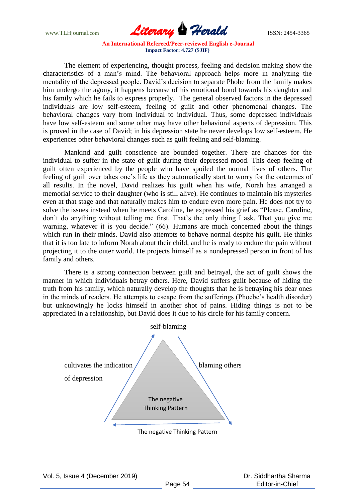www.TLHjournal.com **Literary Herald ISSN: 2454-3365** 

The element of experiencing, thought process, feeling and decision making show the characteristics of a man"s mind. The behavioral approach helps more in analyzing the mentality of the depressed people. David"s decision to separate Phobe from the family makes him undergo the agony, it happens because of his emotional bond towards his daughter and his family which he fails to express properly. The general observed factors in the depressed individuals are low self-esteem, feeling of guilt and other phenomenal changes. The behavioral changes vary from individual to individual. Thus, some depressed individuals have low self-esteem and some other may have other behavioral aspects of depression. This is proved in the case of David; in his depression state he never develops low self-esteem. He experiences other behavioral changes such as guilt feeling and self-blaming.

Mankind and guilt conscience are bounded together. There are chances for the individual to suffer in the state of guilt during their depressed mood. This deep feeling of guilt often experienced by the people who have spoiled the normal lives of others. The feeling of guilt over takes one's life as they automatically start to worry for the outcomes of all results. In the novel, David realizes his guilt when his wife, Norah has arranged a memorial service to their daughter (who is still alive). He continues to maintain his mysteries even at that stage and that naturally makes him to endure even more pain. He does not try to solve the issues instead when he meets Caroline, he expressed his grief as "Please, Caroline, don"t do anything without telling me first. That"s the only thing I ask. That you give me warning, whatever it is you decide." (66). Humans are much concerned about the things which run in their minds. David also attempts to behave normal despite his guilt. He thinks that it is too late to inform Norah about their child, and he is ready to endure the pain without projecting it to the outer world. He projects himself as a nondepressed person in front of his family and others.

There is a strong connection between guilt and betrayal, the act of guilt shows the manner in which individuals betray others. Here, David suffers guilt because of hiding the truth from his family, which naturally develop the thoughts that he is betraying his dear ones in the minds of readers. He attempts to escape from the sufferings (Phoebe's health disorder) but unknowingly he locks himself in another shot of pains. Hiding things is not to be appreciated in a relationship, but David does it due to his circle for his family concern.

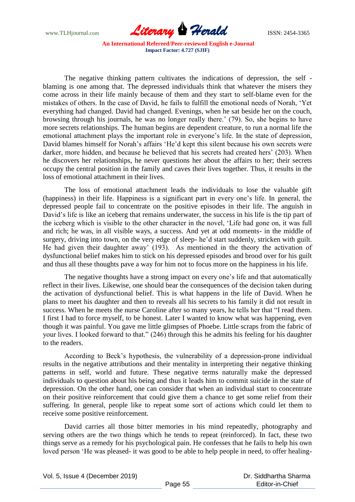

The negative thinking pattern cultivates the indications of depression, the self blaming is one among that. The depressed individuals think that whatever the misers they come across in their life mainly because of them and they start to self-blame even for the mistakes of others. In the case of David, he fails to fulfill the emotional needs of Norah, "Yet everything had changed. David had changed. Evenings, when he sat beside her on the couch, browsing through his journals, he was no longer really there." (79). So, she begins to have more secrets relationships. The human begins are dependent creature, to run a normal life the emotional attachment plays the important role in everyone"s life. In the state of depression, David blames himself for Norah's affairs 'He'd kept this silent because his own secrets were darker, more hidden, and because he believed that his secrets had created hers' (203). When he discovers her relationships, he never questions her about the affairs to her; their secrets occupy the central position in the family and caves their lives together. Thus, it results in the loss of emotional attachment in their lives.

The loss of emotional attachment leads the individuals to lose the valuable gift (happiness) in their life. Happiness is a significant part in every one"s life. In general, the depressed people fail to concentrate on the positive episodes in their life. The anguish in David's life is like an iceberg that remains underwater, the success in his life is the tip part of the iceberg which is visible to the other character in the novel, "Life had gone on, it was full and rich; he was, in all visible ways, a success. And yet at odd moments- in the middle of surgery, driving into town, on the very edge of sleep- he"d start suddenly, stricken with guilt. He had given their daughter away' (193). As mentioned in the theory the activation of dysfunctional belief makes him to stick on his depressed episodes and brood over for his guilt and thus all these thoughts pave a way for him not to focus more on the happiness in his life.

The negative thoughts have a strong impact on every one"s life and that automatically reflect in their lives. Likewise, one should bear the consequences of the decision taken during the activation of dysfunctional belief. This is what happens in the life of David. When he plans to meet his daughter and then to reveals all his secrets to his family it did not result in success. When he meets the nurse Caroline after so many years, he tells her that "I read them. I first I had to force myself, to be honest. Later I wanted to know what was happening, even though it was painful. You gave me little glimpses of Phoebe. Little scraps from the fabric of your lives. I looked forward to that." (246) through this he admits his feeling for his daughter to the readers.

According to Beck's hypothesis, the vulnerability of a depression-prone individual results in the negative attributions and their mentality in interpreting their negative thinking patterns in self, world and future. These negative terms naturally make the depressed individuals to question about his being and thus it leads him to commit suicide in the state of depression. On the other hand, one can consider that when an individual start to concentrate on their positive reinforcement that could give them a chance to get some relief from their suffering. In general, people like to repeat some sort of actions which could let them to receive some positive reinforcement.

David carries all those bitter memories in his mind repeatedly, photography and serving others are the two things which he tends to repeat (reinforced). In fact, these two things serve as a remedy for his psychological pain. He confesses that he fails to help his own loved person "He was pleased- it was good to be able to help people in need, to offer healing-

Vol. 5, Issue 4 (December 2019)

 Dr. Siddhartha Sharma Editor-in-Chief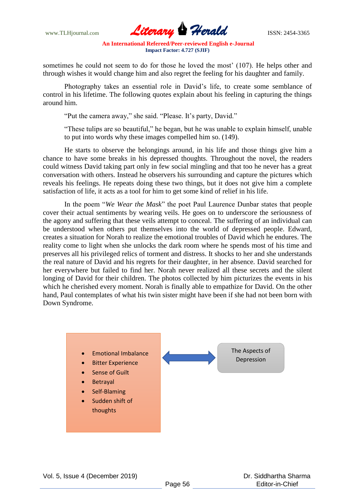www.TLHjournal.com **Literary Herald Herald ISSN: 2454-3365** 

sometimes he could not seem to do for those he loved the most' (107). He helps other and through wishes it would change him and also regret the feeling for his daughter and family.

Photography takes an essential role in David"s life, to create some semblance of control in his lifetime. The following quotes explain about his feeling in capturing the things around him.

"Put the camera away," she said. "Please. It's party, David."

"These tulips are so beautiful," he began, but he was unable to explain himself, unable to put into words why these images compelled him so. (149).

He starts to observe the belongings around, in his life and those things give him a chance to have some breaks in his depressed thoughts. Throughout the novel, the readers could witness David taking part only in few social mingling and that too he never has a great conversation with others. Instead he observers his surrounding and capture the pictures which reveals his feelings. He repeats doing these two things, but it does not give him a complete satisfaction of life, it acts as a tool for him to get some kind of relief in his life.

In the poem "*We Wear the Mask*" the poet Paul Laurence Dunbar states that people cover their actual sentiments by wearing veils. He goes on to underscore the seriousness of the agony and suffering that these veils attempt to conceal. The suffering of an individual can be understood when others put themselves into the world of depressed people. Edward, creates a situation for Norah to realize the emotional troubles of David which he endures. The reality come to light when she unlocks the dark room where he spends most of his time and preserves all his privileged relics of torment and distress. It shocks to her and she understands the real nature of David and his regrets for their daughter, in her absence. David searched for her everywhere but failed to find her. Norah never realized all these secrets and the silent longing of David for their children. The photos collected by him picturizes the events in his which he cherished every moment. Norah is finally able to empathize for David. On the other hand, Paul contemplates of what his twin sister might have been if she had not been born with Down Syndrome.

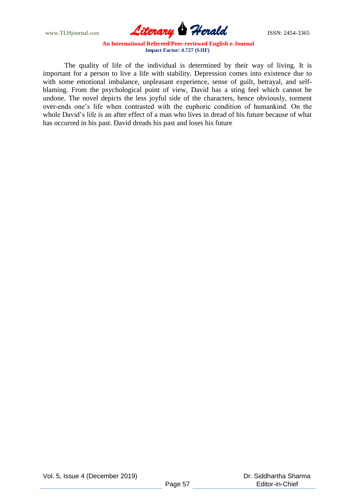www.TLHjournal.com **Literary Herald ISSN: 2454-3365** 

The quality of life of the individual is determined by their way of living. It is important for a person to live a life with stability. Depression comes into existence due to with some emotional imbalance, unpleasant experience, sense of guilt, betrayal, and selfblaming. From the psychological point of view, David has a sting feel which cannot be undone. The novel depicts the less joyful side of the characters, hence obviously, torment over-ends one"s life when contrasted with the euphoric condition of humankind. On the whole David"s life is an after effect of a man who lives in dread of his future because of what has occurred in his past. David dreads his past and loses his future